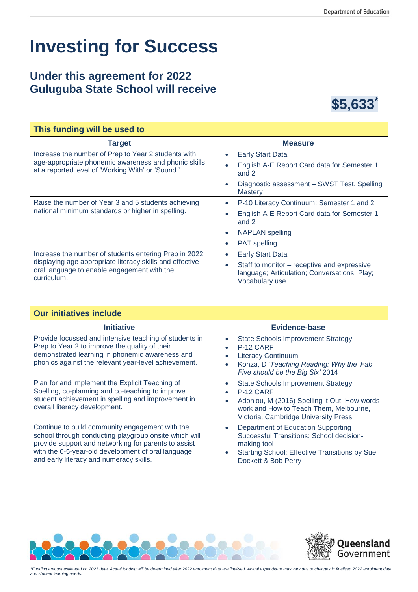## **Investing for Success**

## **Under this agreement for 2022 Guluguba State School will receive**



| This funding will be used to                                                                                                                                                    |                                                                                                                            |
|---------------------------------------------------------------------------------------------------------------------------------------------------------------------------------|----------------------------------------------------------------------------------------------------------------------------|
| <b>Target</b>                                                                                                                                                                   | <b>Measure</b>                                                                                                             |
| Increase the number of Prep to Year 2 students with<br>age-appropriate phonemic awareness and phonic skills<br>at a reported level of 'Working With' or 'Sound.'                | <b>Early Start Data</b><br>$\bullet$                                                                                       |
|                                                                                                                                                                                 | English A-E Report Card data for Semester 1<br>and 2                                                                       |
|                                                                                                                                                                                 | Diagnostic assessment - SWST Test, Spelling<br><b>Mastery</b>                                                              |
| Raise the number of Year 3 and 5 students achieving<br>national minimum standards or higher in spelling.                                                                        | P-10 Literacy Continuum: Semester 1 and 2<br>$\bullet$                                                                     |
|                                                                                                                                                                                 | English A-E Report Card data for Semester 1<br>and 2                                                                       |
|                                                                                                                                                                                 | <b>NAPLAN</b> spelling<br>$\bullet$                                                                                        |
|                                                                                                                                                                                 | <b>PAT</b> spelling                                                                                                        |
| Increase the number of students entering Prep in 2022<br>displaying age appropriate literacy skills and effective<br>oral language to enable engagement with the<br>curriculum. | <b>Early Start Data</b>                                                                                                    |
|                                                                                                                                                                                 | Staff to monitor – receptive and expressive<br>$\bullet$<br>language; Articulation; Conversations; Play;<br>Vocabulary use |

## **Our initiatives include**

| <b>Initiative</b>                                                                                                                                                                                                                                                 | <b>Evidence-base</b>                                                                                                                                                                                  |
|-------------------------------------------------------------------------------------------------------------------------------------------------------------------------------------------------------------------------------------------------------------------|-------------------------------------------------------------------------------------------------------------------------------------------------------------------------------------------------------|
| Provide focussed and intensive teaching of students in<br>Prep to Year 2 to improve the quality of their<br>demonstrated learning in phonemic awareness and<br>phonics against the relevant year-level achievement.                                               | <b>State Schools Improvement Strategy</b><br>P-12 CARF<br><b>Literacy Continuum</b><br>Konza, D'Teaching Reading: Why the 'Fab<br>Five should be the Big Six' 2014                                    |
| Plan for and implement the Explicit Teaching of<br>Spelling, co-planning and co-teaching to improve<br>student achievement in spelling and improvement in<br>overall literacy development.                                                                        | <b>State Schools Improvement Strategy</b><br>P-12 CARF<br>Adoniou, M (2016) Spelling it Out: How words<br>$\bullet$<br>work and How to Teach Them, Melbourne,<br>Victoria, Cambridge University Press |
| Continue to build community engagement with the<br>school through conducting playgroup onsite which will<br>provide support and networking for parents to assist<br>with the 0-5-year-old development of oral language<br>and early literacy and numeracy skills. | Department of Education Supporting<br>Successful Transitions: School decision-<br>making tool<br><b>Starting School: Effective Transitions by Sue</b><br>Dockett & Bob Perry                          |